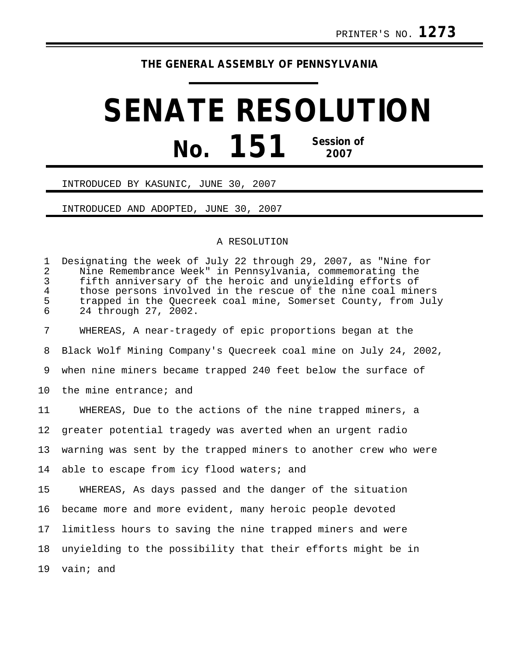## **THE GENERAL ASSEMBLY OF PENNSYLVANIA**

## **SENATE RESOLUTION No. 151 Session of 2007**

## INTRODUCED BY KASUNIC, JUNE 30, 2007

INTRODUCED AND ADOPTED, JUNE 30, 2007

## A RESOLUTION

| $\mathbf{1}$<br>$\overline{2}$<br>$\mathbf{3}$ | Designating the week of July 22 through 29, 2007, as "Nine for<br>Nine Remembrance Week" in Pennsylvania, commemorating the<br>fifth anniversary of the heroic and unyielding efforts of |
|------------------------------------------------|------------------------------------------------------------------------------------------------------------------------------------------------------------------------------------------|
| $\overline{4}$<br>5<br>6                       | those persons involved in the rescue of the nine coal miners<br>trapped in the Quecreek coal mine, Somerset County, from July<br>24 through 27, 2002.                                    |
| 7                                              | WHEREAS, A near-tragedy of epic proportions began at the                                                                                                                                 |
| 8                                              | Black Wolf Mining Company's Quecreek coal mine on July 24, 2002,                                                                                                                         |
| 9                                              | when nine miners became trapped 240 feet below the surface of                                                                                                                            |
| 10                                             | the mine entrance; and                                                                                                                                                                   |
| 11                                             | WHEREAS, Due to the actions of the nine trapped miners, a                                                                                                                                |
| 12                                             | greater potential tragedy was averted when an urgent radio                                                                                                                               |
| 13                                             | warning was sent by the trapped miners to another crew who were                                                                                                                          |
| 14                                             | able to escape from icy flood waters; and                                                                                                                                                |
| 15                                             | WHEREAS, As days passed and the danger of the situation                                                                                                                                  |
| 16                                             | became more and more evident, many heroic people devoted                                                                                                                                 |
| 17                                             | limitless hours to saving the nine trapped miners and were                                                                                                                               |
| 18                                             | unyielding to the possibility that their efforts might be in                                                                                                                             |
| 19                                             | vain; and                                                                                                                                                                                |